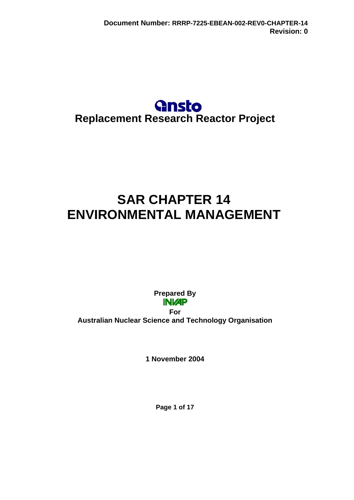# **Gnsto Replacement Research Reactor Project**

# **SAR CHAPTER 14 ENVIRONMENTAL MANAGEMENT**

**Prepared By For Australian Nuclear Science and Technology Organisation** 

**1 November 2004** 

**Page 1 of 17**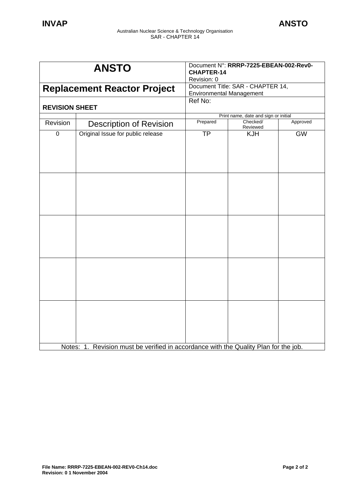| <b>ANSTO</b>                       |                                                                                      | Document N°: RRRP-7225-EBEAN-002-Rev0-<br><b>CHAPTER-14</b><br>Revision: 0 |                      |           |
|------------------------------------|--------------------------------------------------------------------------------------|----------------------------------------------------------------------------|----------------------|-----------|
| <b>Replacement Reactor Project</b> |                                                                                      | Document Title: SAR - CHAPTER 14,<br><b>Environmental Management</b>       |                      |           |
| <b>REVISION SHEET</b>              |                                                                                      | Ref No:                                                                    |                      |           |
|                                    | Print name, date and sign or initial                                                 |                                                                            |                      |           |
| Revision                           | <b>Description of Revision</b>                                                       | Prepared                                                                   | Checked/<br>Reviewed | Approved  |
| $\overline{0}$                     | Original Issue for public release                                                    | <b>TP</b>                                                                  | <b>KJH</b>           | <b>GW</b> |
|                                    |                                                                                      |                                                                            |                      |           |
|                                    |                                                                                      |                                                                            |                      |           |
|                                    |                                                                                      |                                                                            |                      |           |
|                                    | Notes: 1. Revision must be verified in accordance with the Quality Plan for the job. |                                                                            |                      |           |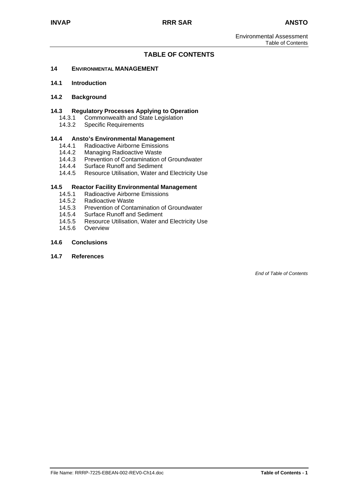#### **TABLE OF CONTENTS**

#### **14 ENVIRONMENTAL MANAGEMENT**

**14.1 Introduction**

#### **14.2 Background**

#### **14.3 Regulatory Processes Applying to Operation**

- 14.3.1 Commonwealth and State Legislation
- 14.3.2 Specific Requirements

# **14.4 Ansto's Environmental Management**

- 14.4.1 Radioactive Airborne Emissions<br>14.4.2 Managing Radioactive Waste
- 14.4.2 Managing Radioactive Waste<br>14.4.3 Prevention of Contamination o
- 14.4.3 Prevention of Contamination of Groundwater<br>14.4.4 Surface Runoff and Sediment
- 14.4.4 Surface Runoff and Sediment<br>14.4.5 Resource Utilisation, Water an
- Resource Utilisation, Water and Electricity Use

#### **14.5 Reactor Facility Environmental Management**

- 14.5.1 Radioactive Airborne Emissions
- 14.5.2 Radioactive Waste<br>14.5.3 Prevention of Conta
- Prevention of Contamination of Groundwater
- 14.5.4 Surface Runoff and Sediment
- 14.5.5 Resource Utilisation, Water and Electricity Use
- 14.5.6 Overview

#### **14.6 Conclusions**

#### **14.7 References**

*End of Table of Contents*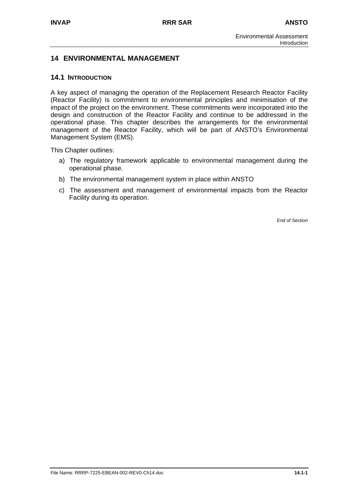# **14 ENVIRONMENTAL MANAGEMENT**

#### **14.1 INTRODUCTION**

A key aspect of managing the operation of the Replacement Research Reactor Facility (Reactor Facility) is commitment to environmental principles and minimisation of the impact of the project on the environment. These commitments were incorporated into the design and construction of the Reactor Facility and continue to be addressed in the operational phase. This chapter describes the arrangements for the environmental management of the Reactor Facility, which will be part of ANSTO's Environmental Management System (EMS).

This Chapter outlines:

- a) The regulatory framework applicable to environmental management during the operational phase.
- b) The environmental management system in place within ANSTO
- c) The assessment and management of environmental impacts from the Reactor Facility during its operation.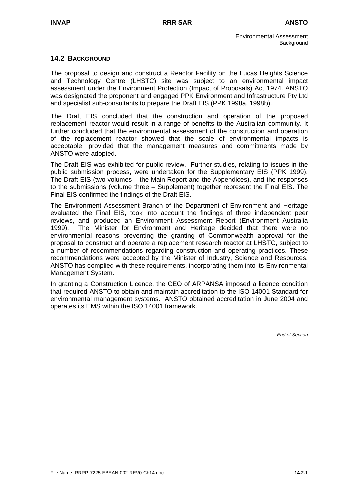# **14.2 BACKGROUND**

The proposal to design and construct a Reactor Facility on the Lucas Heights Science and Technology Centre (LHSTC) site was subject to an environmental impact assessment under the Environment Protection (Impact of Proposals) Act 1974. ANSTO was designated the proponent and engaged PPK Environment and Infrastructure Pty Ltd and specialist sub-consultants to prepare the Draft EIS (PPK 1998a, 1998b).

The Draft EIS concluded that the construction and operation of the proposed replacement reactor would result in a range of benefits to the Australian community. It further concluded that the environmental assessment of the construction and operation of the replacement reactor showed that the scale of environmental impacts is acceptable, provided that the management measures and commitments made by ANSTO were adopted.

The Draft EIS was exhibited for public review. Further studies, relating to issues in the public submission process, were undertaken for the Supplementary EIS (PPK 1999). The Draft EIS (two volumes – the Main Report and the Appendices), and the responses to the submissions (volume three – Supplement) together represent the Final EIS. The Final EIS confirmed the findings of the Draft EIS.

The Environment Assessment Branch of the Department of Environment and Heritage evaluated the Final EIS, took into account the findings of three independent peer reviews, and produced an Environment Assessment Report (Environment Australia 1999). The Minister for Environment and Heritage decided that there were no environmental reasons preventing the granting of Commonwealth approval for the proposal to construct and operate a replacement research reactor at LHSTC, subject to a number of recommendations regarding construction and operating practices. These recommendations were accepted by the Minister of Industry, Science and Resources. ANSTO has complied with these requirements, incorporating them into its Environmental Management System.

In granting a Construction Licence, the CEO of ARPANSA imposed a licence condition that required ANSTO to obtain and maintain accreditation to the ISO 14001 Standard for environmental management systems. ANSTO obtained accreditation in June 2004 and operates its EMS within the ISO 14001 framework.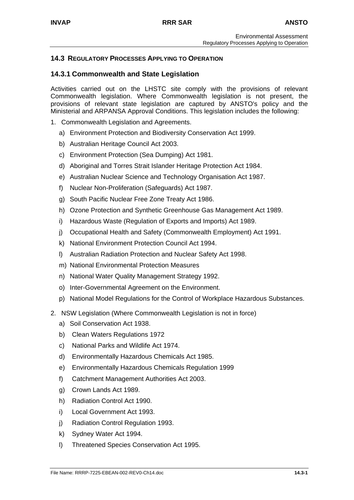# **14.3 REGULATORY PROCESSES APPLYING TO OPERATION**

# **14.3.1 Commonwealth and State Legislation**

Activities carried out on the LHSTC site comply with the provisions of relevant Commonwealth legislation. Where Commonwealth legislation is not present, the provisions of relevant state legislation are captured by ANSTO's policy and the Ministerial and ARPANSA Approval Conditions. This legislation includes the following:

- 1. Commonwealth Legislation and Agreements.
	- a) Environment Protection and Biodiversity Conservation Act 1999.
	- b) Australian Heritage Council Act 2003.
	- c) Environment Protection (Sea Dumping) Act 1981.
	- d) Aboriginal and Torres Strait Islander Heritage Protection Act 1984.
	- e) Australian Nuclear Science and Technology Organisation Act 1987.
	- f) Nuclear Non-Proliferation (Safeguards) Act 1987.
	- g) South Pacific Nuclear Free Zone Treaty Act 1986.
	- h) Ozone Protection and Synthetic Greenhouse Gas Management Act 1989.
	- i) Hazardous Waste (Regulation of Exports and Imports) Act 1989.
	- j) Occupational Health and Safety (Commonwealth Employment) Act 1991.
	- k) National Environment Protection Council Act 1994.
	- l) Australian Radiation Protection and Nuclear Safety Act 1998.
	- m) National Environmental Protection Measures
	- n) National Water Quality Management Strategy 1992.
	- o) Inter-Governmental Agreement on the Environment.
	- p) National Model Regulations for the Control of Workplace Hazardous Substances.
- 2. NSW Legislation (Where Commonwealth Legislation is not in force)
	- a) Soil Conservation Act 1938.
	- b) Clean Waters Regulations 1972
	- c) National Parks and Wildlife Act 1974.
	- d) Environmentally Hazardous Chemicals Act 1985.
	- e) Environmentally Hazardous Chemicals Regulation 1999
	- f) Catchment Management Authorities Act 2003.
	- g) Crown Lands Act 1989.
	- h) Radiation Control Act 1990.
	- i) Local Government Act 1993.
	- j) Radiation Control Regulation 1993.
	- k) Sydney Water Act 1994.
	- l) Threatened Species Conservation Act 1995.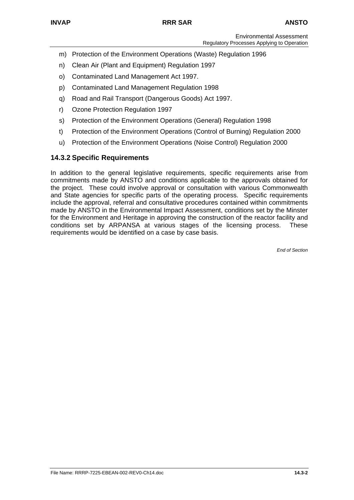- m) Protection of the Environment Operations (Waste) Regulation 1996
- n) Clean Air (Plant and Equipment) Regulation 1997
- o) Contaminated Land Management Act 1997.
- p) Contaminated Land Management Regulation 1998
- q) Road and Rail Transport (Dangerous Goods) Act 1997.
- r) Ozone Protection Regulation 1997
- s) Protection of the Environment Operations (General) Regulation 1998
- t) Protection of the Environment Operations (Control of Burning) Regulation 2000
- u) Protection of the Environment Operations (Noise Control) Regulation 2000

# **14.3.2 Specific Requirements**

In addition to the general legislative requirements, specific requirements arise from commitments made by ANSTO and conditions applicable to the approvals obtained for the project. These could involve approval or consultation with various Commonwealth and State agencies for specific parts of the operating process. Specific requirements include the approval, referral and consultative procedures contained within commitments made by ANSTO in the Environmental Impact Assessment, conditions set by the Minster for the Environment and Heritage in approving the construction of the reactor facility and conditions set by ARPANSA at various stages of the licensing process. These requirements would be identified on a case by case basis.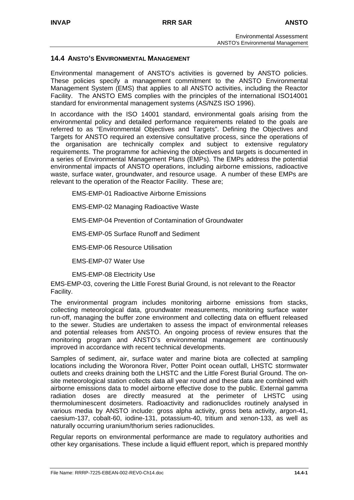#### **14.4 ANSTO'S ENVIRONMENTAL MANAGEMENT**

Environmental management of ANSTO's activities is governed by ANSTO policies. These policies specify a management commitment to the ANSTO Environmental Management System (EMS) that applies to all ANSTO activities, including the Reactor Facility. The ANSTO EMS complies with the principles of the international ISO14001 standard for environmental management systems (AS/NZS ISO 1996).

In accordance with the ISO 14001 standard, environmental goals arising from the environmental policy and detailed performance requirements related to the goals are referred to as "Environmental Objectives and Targets". Defining the Objectives and Targets for ANSTO required an extensive consultative process, since the operations of the organisation are technically complex and subject to extensive regulatory requirements. The programme for achieving the objectives and targets is documented in a series of Environmental Management Plans (EMPs). The EMPs address the potential environmental impacts of ANSTO operations, including airborne emissions, radioactive waste, surface water, groundwater, and resource usage. A number of these EMPs are relevant to the operation of the Reactor Facility. These are;

EMS-EMP-01 Radioactive Airborne Emissions

EMS-EMP-02 Managing Radioactive Waste

EMS-EMP-04 Prevention of Contamination of Groundwater

EMS-EMP-05 Surface Runoff and Sediment

EMS-EMP-06 Resource Utilisation

EMS-EMP-07 Water Use

EMS-EMP-08 Electricity Use

EMS-EMP-03, covering the Little Forest Burial Ground, is not relevant to the Reactor Facility.

The environmental program includes monitoring airborne emissions from stacks, collecting meteorological data, groundwater measurements, monitoring surface water run-off, managing the buffer zone environment and collecting data on effluent released to the sewer. Studies are undertaken to assess the impact of environmental releases and potential releases from ANSTO. An ongoing process of review ensures that the monitoring program and ANSTO's environmental management are continuously improved in accordance with recent technical developments.

Samples of sediment, air, surface water and marine biota are collected at sampling locations including the Woronora River, Potter Point ocean outfall, LHSTC stormwater outlets and creeks draining both the LHSTC and the Little Forest Burial Ground. The onsite meteorological station collects data all year round and these data are combined with airborne emissions data to model airborne effective dose to the public. External gamma radiation doses are directly measured at the perimeter of LHSTC using thermoluminescent dosimeters. Radioactivity and radionuclides routinely analysed in various media by ANSTO include: gross alpha activity, gross beta activity, argon-41, caesium-137, cobalt-60, iodine-131, potassium-40, tritium and xenon-133, as well as naturally occurring uranium/thorium series radionuclides.

Regular reports on environmental performance are made to regulatory authorities and other key organisations. These include a liquid effluent report, which is prepared monthly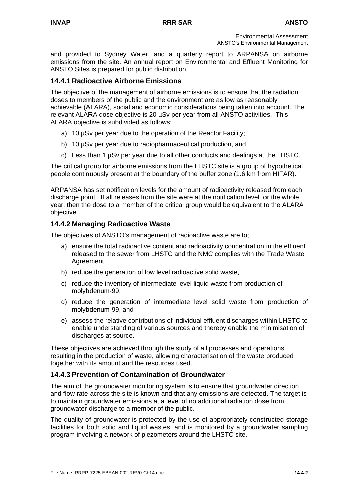and provided to Sydney Water, and a quarterly report to ARPANSA on airborne emissions from the site. An annual report on Environmental and Effluent Monitoring for ANSTO Sites is prepared for public distribution.

# **14.4.1 Radioactive Airborne Emissions**

The objective of the management of airborne emissions is to ensure that the radiation doses to members of the public and the environment are as low as reasonably achievable (ALARA), social and economic considerations being taken into account. The relevant ALARA dose objective is 20 µSv per year from all ANSTO activities. This ALARA objective is subdivided as follows:

- a) 10 µSv per year due to the operation of the Reactor Facility;
- b) 10 µSv per year due to radiopharmaceutical production, and
- c) Less than 1 µSv per year due to all other conducts and dealings at the LHSTC.

The critical group for airborne emissions from the LHSTC site is a group of hypothetical people continuously present at the boundary of the buffer zone (1.6 km from HIFAR).

ARPANSA has set notification levels for the amount of radioactivity released from each discharge point. If all releases from the site were at the notification level for the whole year, then the dose to a member of the critical group would be equivalent to the ALARA objective.

# **14.4.2 Managing Radioactive Waste**

The objectives of ANSTO's management of radioactive waste are to;

- a) ensure the total radioactive content and radioactivity concentration in the effluent released to the sewer from LHSTC and the NMC complies with the Trade Waste Agreement,
- b) reduce the generation of low level radioactive solid waste,
- c) reduce the inventory of intermediate level liquid waste from production of molybdenum-99,
- d) reduce the generation of intermediate level solid waste from production of molybdenum-99, and
- e) assess the relative contributions of individual effluent discharges within LHSTC to enable understanding of various sources and thereby enable the minimisation of discharges at source.

These objectives are achieved through the study of all processes and operations resulting in the production of waste, allowing characterisation of the waste produced together with its amount and the resources used.

# **14.4.3 Prevention of Contamination of Groundwater**

The aim of the groundwater monitoring system is to ensure that groundwater direction and flow rate across the site is known and that any emissions are detected. The target is to maintain groundwater emissions at a level of no additional radiation dose from groundwater discharge to a member of the public.

The quality of groundwater is protected by the use of appropriately constructed storage facilities for both solid and liquid wastes, and is monitored by a groundwater sampling program involving a network of piezometers around the LHSTC site.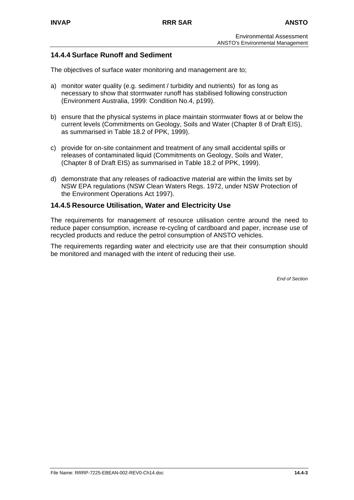# **14.4.4 Surface Runoff and Sediment**

The objectives of surface water monitoring and management are to;

- a) monitor water quality (e.g. sediment / turbidity and nutrients) for as long as necessary to show that stormwater runoff has stabilised following construction (Environment Australia, 1999: Condition No.4, p199).
- b) ensure that the physical systems in place maintain stormwater flows at or below the current levels (Commitments on Geology, Soils and Water (Chapter 8 of Draft EIS), as summarised in Table 18.2 of PPK, 1999).
- c) provide for on-site containment and treatment of any small accidental spills or releases of contaminated liquid (Commitments on Geology, Soils and Water, (Chapter 8 of Draft EIS) as summarised in Table 18.2 of PPK, 1999).
- d) demonstrate that any releases of radioactive material are within the limits set by NSW EPA regulations (NSW Clean Waters Regs. 1972, under NSW Protection of the Environment Operations Act 1997).

#### **14.4.5 Resource Utilisation, Water and Electricity Use**

The requirements for management of resource utilisation centre around the need to reduce paper consumption, increase re-cycling of cardboard and paper, increase use of recycled products and reduce the petrol consumption of ANSTO vehicles.

The requirements regarding water and electricity use are that their consumption should be monitored and managed with the intent of reducing their use.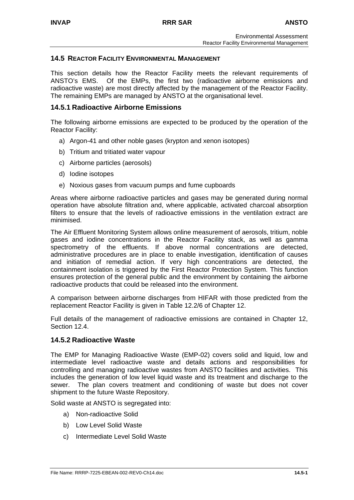#### **14.5 REACTOR FACILITY ENVIRONMENTAL MANAGEMENT**

This section details how the Reactor Facility meets the relevant requirements of ANSTO's EMS. Of the EMPs, the first two (radioactive airborne emissions and radioactive waste) are most directly affected by the management of the Reactor Facility. The remaining EMPs are managed by ANSTO at the organisational level.

#### **14.5.1 Radioactive Airborne Emissions**

The following airborne emissions are expected to be produced by the operation of the Reactor Facility:

- a) Argon-41 and other noble gases (krypton and xenon isotopes)
- b) Tritium and tritiated water vapour
- c) Airborne particles (aerosols)
- d) Iodine isotopes
- e) Noxious gases from vacuum pumps and fume cupboards

Areas where airborne radioactive particles and gases may be generated during normal operation have absolute filtration and, where applicable, activated charcoal absorption filters to ensure that the levels of radioactive emissions in the ventilation extract are minimised.

The Air Effluent Monitoring System allows online measurement of aerosols, tritium, noble gases and iodine concentrations in the Reactor Facility stack, as well as gamma spectrometry of the effluents. If above normal concentrations are detected, administrative procedures are in place to enable investigation, identification of causes and initiation of remedial action. If very high concentrations are detected, the containment isolation is triggered by the First Reactor Protection System. This function ensures protection of the general public and the environment by containing the airborne radioactive products that could be released into the environment.

A comparison between airborne discharges from HIFAR with those predicted from the replacement Reactor Facility is given in Table 12.2/6 of Chapter 12.

Full details of the management of radioactive emissions are contained in Chapter 12, Section 12.4.

# **14.5.2 Radioactive Waste**

The EMP for Managing Radioactive Waste (EMP-02) covers solid and liquid, low and intermediate level radioactive waste and details actions and responsibilities for controlling and managing radioactive wastes from ANSTO facilities and activities. This includes the generation of low level liquid waste and its treatment and discharge to the sewer. The plan covers treatment and conditioning of waste but does not cover shipment to the future Waste Repository.

Solid waste at ANSTO is segregated into:

- a) Non-radioactive Solid
- b) Low Level Solid Waste
- c) Intermediate Level Solid Waste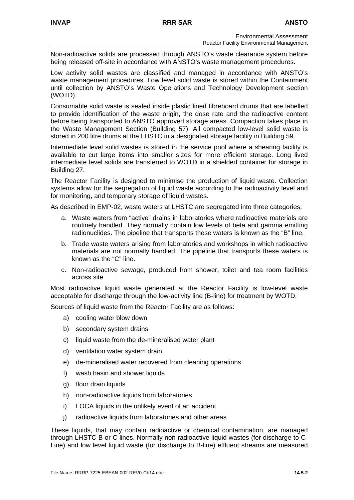Non-radioactive solids are processed through ANSTO's waste clearance system before being released off-site in accordance with ANSTO's waste management procedures.

Low activity solid wastes are classified and managed in accordance with ANSTO's waste management procedures. Low level solid waste is stored within the Containment until collection by ANSTO's Waste Operations and Technology Development section (WOTD).

Consumable solid waste is sealed inside plastic lined fibreboard drums that are labelled to provide identification of the waste origin, the dose rate and the radioactive content before being transported to ANSTO approved storage areas. Compaction takes place in the Waste Management Section (Building 57). All compacted low-level solid waste is stored in 200 litre drums at the LHSTC in a designated storage facility in Building 59.

Intermediate level solid wastes is stored in the service pool where a shearing facility is available to cut large items into smaller sizes for more efficient storage. Long lived intermediate level solids are transferred to WOTD in a shielded container for storage in Building 27.

The Reactor Facility is designed to minimise the production of liquid waste. Collection systems allow for the segregation of liquid waste according to the radioactivity level and for monitoring, and temporary storage of liquid wastes.

As described in EMP-02, waste waters at LHSTC are segregated into three categories:

- a. Waste waters from "active" drains in laboratories where radioactive materials are routinely handled. They normally contain low levels of beta and gamma emitting radionuclides. The pipeline that transports these waters is known as the "B" line.
- b. Trade waste waters arising from laboratories and workshops in which radioactive materials are not normally handled. The pipeline that transports these waters is known as the "C" line.
- c. Non-radioactive sewage, produced from shower, toilet and tea room facilities across site

Most radioactive liquid waste generated at the Reactor Facility is low-level waste acceptable for discharge through the low-activity line (B-line) for treatment by WOTD.

Sources of liquid waste from the Reactor Facility are as follows:

- a) cooling water blow down
- b) secondary system drains
- c) liquid waste from the de-mineralised water plant
- d) ventilation water system drain
- e) de-mineralised water recovered from cleaning operations
- f) wash basin and shower liquids
- g) floor drain liquids
- h) non-radioactive liquids from laboratories
- i) LOCA liquids in the unlikely event of an accident
- j) radioactive liquids from laboratories and other areas

These liquids, that may contain radioactive or chemical contamination, are managed through LHSTC B or C lines. Normally non-radioactive liquid wastes (for discharge to C-Line) and low level liquid waste (for discharge to B-line) effluent streams are measured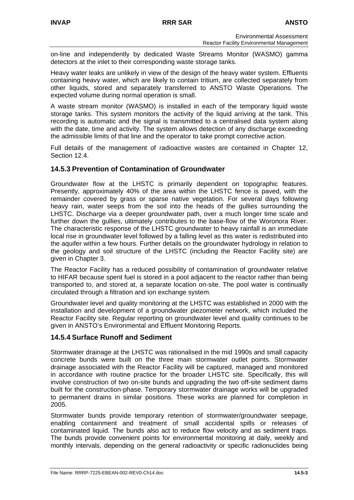on-line and independently by dedicated Waste Streams Monitor (WASMO) gamma detectors at the inlet to their corresponding waste storage tanks.

Heavy water leaks are unlikely in view of the design of the heavy water system. Effluents containing heavy water, which are likely to contain tritium, are collected separately from other liquids, stored and separately transferred to ANSTO Waste Operations. The expected volume during normal operation is small.

A waste stream monitor (WASMO) is installed in each of the temporary liquid waste storage tanks. This system monitors the activity of the liquid arriving at the tank. This recording is automatic and the signal is transmitted to a centralised data system along with the date, time and activity. The system allows detection of any discharge exceeding the admissible limits of that line and the operator to take prompt corrective action.

Full details of the management of radioactive wastes are contained in Chapter 12, Section 12.4

#### **14.5.3 Prevention of Contamination of Groundwater**

Groundwater flow at the LHSTC is primarily dependent on topographic features. Presently, approximately 40% of the area within the LHSTC fence is paved, with the remainder covered by grass or sparse native vegetation. For several days following heavy rain, water seeps from the soil into the heads of the gullies surrounding the LHSTC. Discharge via a deeper groundwater path, over a much longer time scale and further down the gullies, ultimately contributes to the base-flow of the Woronora River. The characteristic response of the LHSTC groundwater to heavy rainfall is an immediate local rise in groundwater level followed by a falling level as this water is redistributed into the aquifer within a few hours. Further details on the groundwater hydrology in relation to the geology and soil structure of the LHSTC (including the Reactor Facility site) are given in Chapter 3.

The Reactor Facility has a reduced possibility of contamination of groundwater relative to HIFAR because spent fuel is stored in a pool adjacent to the reactor rather than being transported to, and stored at, a separate location on-site. The pool water is continually circulated through a filtration and ion exchange system.

Groundwater level and quality monitoring at the LHSTC was established in 2000 with the installation and development of a groundwater piezometer network, which included the Reactor Facility site. Regular reporting on groundwater level and quality continues to be given in ANSTO's Environmental and Effluent Monitoring Reports.

#### **14.5.4 Surface Runoff and Sediment**

Stormwater drainage at the LHSTC was rationalised in the mid 1990s and small capacity concrete bunds were built on the three main stormwater outlet points. Stormwater drainage associated with the Reactor Facility will be captured, managed and monitored in accordance with routine practice for the broader LHSTC site. Specifically, this will involve construction of two on-site bunds and upgrading the two off-site sediment dams built for the construction-phase. Temporary stormwater drainage works will be upgraded to permanent drains in similar positions. These works are planned for completion in 2005.

Stormwater bunds provide temporary retention of stormwater/groundwater seepage, enabling containment and treatment of small accidental spills or releases of contaminated liquid. The bunds also act to reduce flow velocity and as sediment traps. The bunds provide convenient points for environmental monitoring at daily, weekly and monthly intervals, depending on the general radioactivity or specific radionuclides being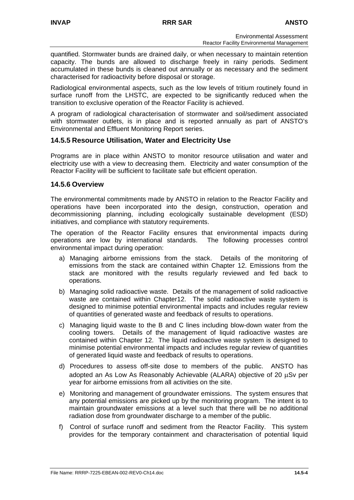quantified. Stormwater bunds are drained daily, or when necessary to maintain retention capacity. The bunds are allowed to discharge freely in rainy periods. Sediment accumulated in these bunds is cleaned out annually or as necessary and the sediment characterised for radioactivity before disposal or storage.

Radiological environmental aspects, such as the low levels of tritium routinely found in surface runoff from the LHSTC, are expected to be significantly reduced when the transition to exclusive operation of the Reactor Facility is achieved.

A program of radiological characterisation of stormwater and soil/sediment associated with stormwater outlets, is in place and is reported annually as part of ANSTO's Environmental and Effluent Monitoring Report series.

# **14.5.5 Resource Utilisation, Water and Electricity Use**

Programs are in place within ANSTO to monitor resource utilisation and water and electricity use with a view to decreasing them. Electricity and water consumption of the Reactor Facility will be sufficient to facilitate safe but efficient operation.

#### **14.5.6 Overview**

The environmental commitments made by ANSTO in relation to the Reactor Facility and operations have been incorporated into the design, construction, operation and decommissioning planning, including ecologically sustainable development (ESD) initiatives, and compliance with statutory requirements.

The operation of the Reactor Facility ensures that environmental impacts during operations are low by international standards. The following processes control environmental impact during operation:

- a) Managing airborne emissions from the stack. Details of the monitoring of emissions from the stack are contained within Chapter 12. Emissions from the stack are monitored with the results regularly reviewed and fed back to operations.
- b) Managing solid radioactive waste. Details of the management of solid radioactive waste are contained within Chapter12. The solid radioactive waste system is designed to minimise potential environmental impacts and includes regular review of quantities of generated waste and feedback of results to operations.
- c) Managing liquid waste to the B and C lines including blow-down water from the cooling towers. Details of the management of liquid radioactive wastes are contained within Chapter 12. The liquid radioactive waste system is designed to minimise potential environmental impacts and includes regular review of quantities of generated liquid waste and feedback of results to operations.
- d) Procedures to assess off-site dose to members of the public. ANSTO has adopted an As Low As Reasonably Achievable (ALARA) objective of 20 µSv per year for airborne emissions from all activities on the site.
- e) Monitoring and management of groundwater emissions. The system ensures that any potential emissions are picked up by the monitoring program. The intent is to maintain groundwater emissions at a level such that there will be no additional radiation dose from groundwater discharge to a member of the public.
- f) Control of surface runoff and sediment from the Reactor Facility. This system provides for the temporary containment and characterisation of potential liquid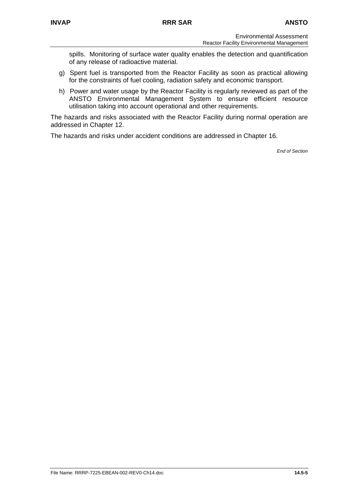spills. Monitoring of surface water quality enables the detection and quantification of any release of radioactive material.

- g) Spent fuel is transported from the Reactor Facility as soon as practical allowing for the constraints of fuel cooling, radiation safety and economic transport.
- h) Power and water usage by the Reactor Facility is regularly reviewed as part of the ANSTO Environmental Management System to ensure efficient resource utilisation taking into account operational and other requirements.

The hazards and risks associated with the Reactor Facility during normal operation are addressed in Chapter 12.

The hazards and risks under accident conditions are addressed in Chapter 16.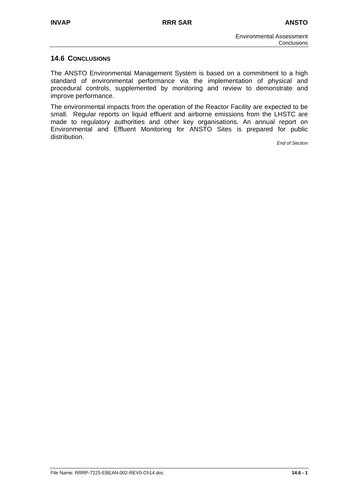#### **14.6 CONCLUSIONS**

The ANSTO Environmental Management System is based on a commitment to a high standard of environmental performance via the implementation of physical and procedural controls, supplemented by monitoring and review to demonstrate and improve performance.

The environmental impacts from the operation of the Reactor Facility are expected to be small. Regular reports on liquid effluent and airborne emissions from the LHSTC are made to regulatory authorities and other key organisations. An annual report on Environmental and Effluent Monitoring for ANSTO Sites is prepared for public distribution.